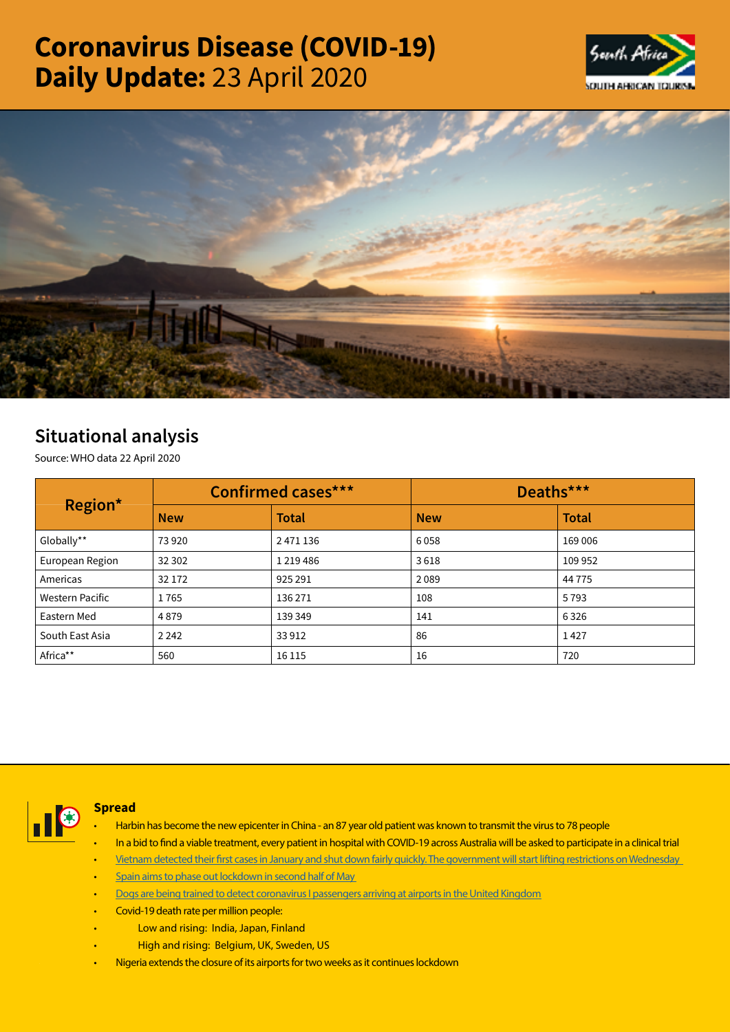# Coronavirus Disease (COVID-19) Daily Update: 23 April 2020





# Situational analysis

Source: WHO data 22 April 2020

| Region*                | <b>Confirmed cases***</b> |               | Deaths***  |              |  |
|------------------------|---------------------------|---------------|------------|--------------|--|
|                        | <b>New</b>                | <b>Total</b>  | <b>New</b> | <b>Total</b> |  |
| Globally**             | 73920                     | 2 471 136     | 6058       | 169 006      |  |
| European Region        | 32 302                    | 1 2 1 9 4 8 6 | 3618       | 109 952      |  |
| Americas               | 32 172                    | 925 291       | 2089       | 44 7 7 5     |  |
| <b>Western Pacific</b> | 1765                      | 136 271       | 108        | 5793         |  |
| Eastern Med            | 4879                      | 139 349       | 141        | 6326         |  |
| South East Asia        | 2 2 4 2                   | 33912         | 86         | 1427         |  |
| Africa**               | 560                       | 16 1 15       | 16         | 720          |  |



## Spread

- Harbin has become the new epicenter in China an 87 year old patient was known to transmit the virus to 78 people
- In a bid to find a viable treatment, every patient in hospital with COVID-19 across Australia will be asked to participate in a clinical trial
- Vietnam detected their first cases in January and shut down fairly quickly. The government will start lifting restrictions on Wednesday
- Spain aims to phase out lockdown in second half of May
- [Dogs are being trained to detect coronavirus I passengers arriving at airports in the United Kingdom](https://t.co/7zItqQ3RIC?amp=1)
- Covid-19 death rate per million people:
- Low and rising: India, Japan, Finland
- High and rising: Belgium, UK, Sweden, US
- [Nigeria extends the closure of its airports for two weeks as it continues lockdown](https://t.co/e7cSC7uDMk?amp=1)